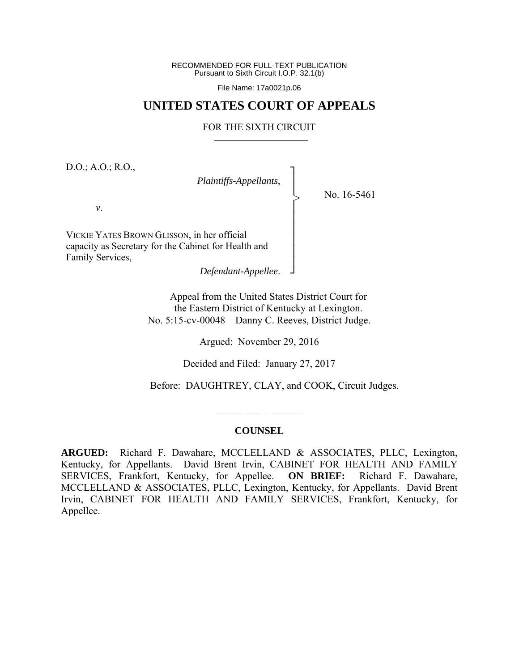RECOMMENDED FOR FULL-TEXT PUBLICATION Pursuant to Sixth Circuit I.O.P. 32.1(b)

File Name: 17a0021p.06

# **UNITED STATES COURT OF APPEALS**

#### FOR THE SIXTH CIRCUIT

┐ │ │ │ │ │ │ │ │ ┘

>

D.O.; A.O.; R.O.,

*Plaintiffs-Appellants*,

No. 16-5461

*v*.

VICKIE YATES BROWN GLISSON, in her official capacity as Secretary for the Cabinet for Health and Family Services,

*Defendant-Appellee*.

Appeal from the United States District Court for the Eastern District of Kentucky at Lexington. No. 5:15-cv-00048—Danny C. Reeves, District Judge.

Argued: November 29, 2016

Decided and Filed: January 27, 2017

Before: DAUGHTREY, CLAY, and COOK, Circuit Judges.

#### **COUNSEL**

 $\frac{1}{2}$  ,  $\frac{1}{2}$  ,  $\frac{1}{2}$  ,  $\frac{1}{2}$  ,  $\frac{1}{2}$  ,  $\frac{1}{2}$  ,  $\frac{1}{2}$  ,  $\frac{1}{2}$  ,  $\frac{1}{2}$ 

**ARGUED:** Richard F. Dawahare, MCCLELLAND & ASSOCIATES, PLLC, Lexington, Kentucky, for Appellants. David Brent Irvin, CABINET FOR HEALTH AND FAMILY SERVICES, Frankfort, Kentucky, for Appellee. **ON BRIEF:** Richard F. Dawahare, MCCLELLAND & ASSOCIATES, PLLC, Lexington, Kentucky, for Appellants. David Brent Irvin, CABINET FOR HEALTH AND FAMILY SERVICES, Frankfort, Kentucky, for Appellee.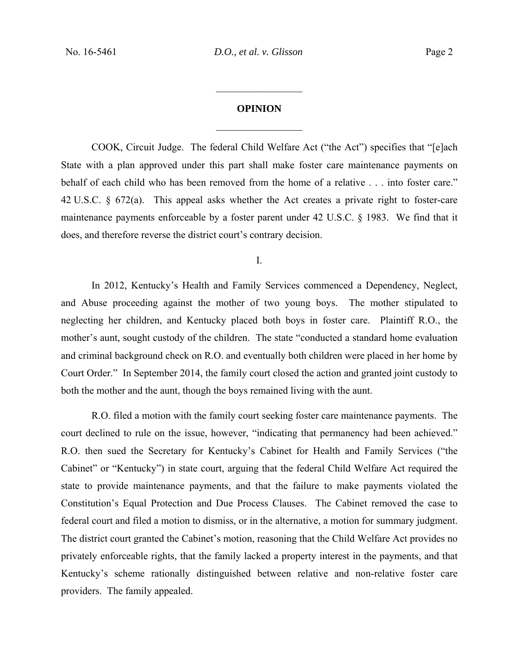# **OPINION**

 $\frac{1}{2}$ 

 $\frac{1}{2}$ 

COOK, Circuit Judge. The federal Child Welfare Act ("the Act") specifies that "[e]ach State with a plan approved under this part shall make foster care maintenance payments on behalf of each child who has been removed from the home of a relative . . . into foster care." 42 U.S.C. § 672(a). This appeal asks whether the Act creates a private right to foster-care maintenance payments enforceable by a foster parent under 42 U.S.C. § 1983. We find that it does, and therefore reverse the district court's contrary decision.

I.

In 2012, Kentucky's Health and Family Services commenced a Dependency, Neglect, and Abuse proceeding against the mother of two young boys. The mother stipulated to neglecting her children, and Kentucky placed both boys in foster care. Plaintiff R.O., the mother's aunt, sought custody of the children. The state "conducted a standard home evaluation and criminal background check on R.O. and eventually both children were placed in her home by Court Order." In September 2014, the family court closed the action and granted joint custody to both the mother and the aunt, though the boys remained living with the aunt.

 R.O. filed a motion with the family court seeking foster care maintenance payments. The court declined to rule on the issue, however, "indicating that permanency had been achieved." R.O. then sued the Secretary for Kentucky's Cabinet for Health and Family Services ("the Cabinet" or "Kentucky") in state court, arguing that the federal Child Welfare Act required the state to provide maintenance payments, and that the failure to make payments violated the Constitution's Equal Protection and Due Process Clauses. The Cabinet removed the case to federal court and filed a motion to dismiss, or in the alternative, a motion for summary judgment. The district court granted the Cabinet's motion, reasoning that the Child Welfare Act provides no privately enforceable rights, that the family lacked a property interest in the payments, and that Kentucky's scheme rationally distinguished between relative and non-relative foster care providers. The family appealed.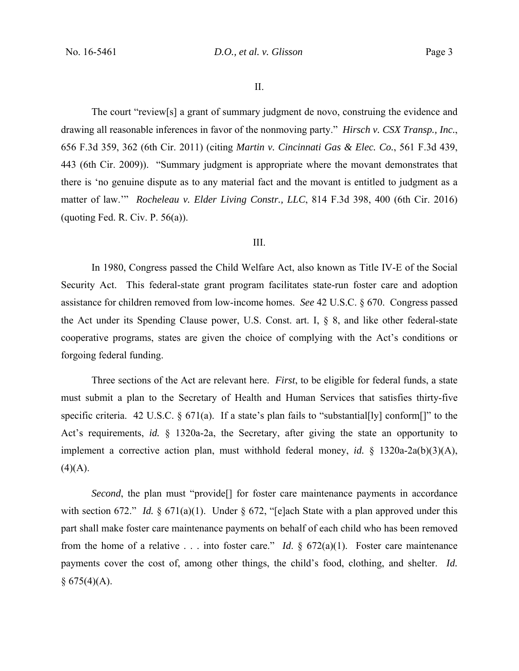The court "review[s] a grant of summary judgment de novo, construing the evidence and drawing all reasonable inferences in favor of the nonmoving party." *Hirsch v. CSX Transp., Inc.*, 656 F.3d 359, 362 (6th Cir. 2011) (citing *Martin v. Cincinnati Gas & Elec. Co.*, 561 F.3d 439, 443 (6th Cir. 2009)). "Summary judgment is appropriate where the movant demonstrates that there is 'no genuine dispute as to any material fact and the movant is entitled to judgment as a matter of law.'" *Rocheleau v. Elder Living Constr., LLC*, 814 F.3d 398, 400 (6th Cir. 2016) (quoting Fed. R. Civ. P.  $56(a)$ ).

## III.

In 1980, Congress passed the Child Welfare Act, also known as Title IV-E of the Social Security Act. This federal-state grant program facilitates state-run foster care and adoption assistance for children removed from low-income homes. *See* 42 U.S.C. § 670. Congress passed the Act under its Spending Clause power, U.S. Const. art. I, § 8, and like other federal-state cooperative programs, states are given the choice of complying with the Act's conditions or forgoing federal funding.

Three sections of the Act are relevant here. *First*, to be eligible for federal funds, a state must submit a plan to the Secretary of Health and Human Services that satisfies thirty-five specific criteria. 42 U.S.C. § 671(a). If a state's plan fails to "substantial[ly] conform[]" to the Act's requirements, *id.* § 1320a-2a, the Secretary, after giving the state an opportunity to implement a corrective action plan, must withhold federal money, *id.* § 1320a-2a(b)(3)(A),  $(4)(A).$ 

*Second*, the plan must "provide<sup>[]</sup> for foster care maintenance payments in accordance with section 672." *Id.* § 671(a)(1). Under § 672, "[e]ach State with a plan approved under this part shall make foster care maintenance payments on behalf of each child who has been removed from the home of a relative . . . into foster care." *Id*. § 672(a)(1). Foster care maintenance payments cover the cost of, among other things, the child's food, clothing, and shelter. *Id.*   $§ 675(4)(A).$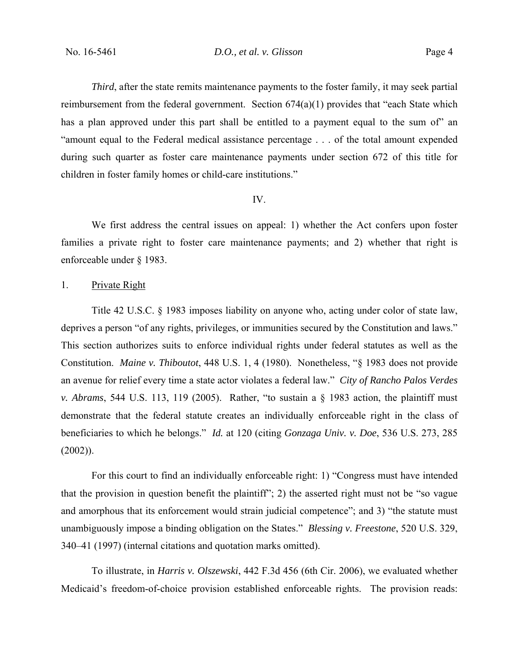*Third*, after the state remits maintenance payments to the foster family, it may seek partial reimbursement from the federal government. Section 674(a)(1) provides that "each State which has a plan approved under this part shall be entitled to a payment equal to the sum of" an "amount equal to the Federal medical assistance percentage . . . of the total amount expended during such quarter as foster care maintenance payments under section 672 of this title for children in foster family homes or child-care institutions."

#### IV.

We first address the central issues on appeal: 1) whether the Act confers upon foster families a private right to foster care maintenance payments; and 2) whether that right is enforceable under § 1983.

### 1. Private Right

 Title 42 U.S.C. § 1983 imposes liability on anyone who, acting under color of state law, deprives a person "of any rights, privileges, or immunities secured by the Constitution and laws." This section authorizes suits to enforce individual rights under federal statutes as well as the Constitution. *Maine v. Thiboutot*, 448 U.S. 1, 4 (1980). Nonetheless, "§ 1983 does not provide an avenue for relief every time a state actor violates a federal law." *City of Rancho Palos Verdes v. Abrams*, 544 U.S. 113, 119 (2005). Rather, "to sustain a § 1983 action, the plaintiff must demonstrate that the federal statute creates an individually enforceable right in the class of beneficiaries to which he belongs." *Id.* at 120 (citing *Gonzaga Univ. v. Doe*, 536 U.S. 273, 285  $(2002)$ ).

For this court to find an individually enforceable right: 1) "Congress must have intended that the provision in question benefit the plaintiff"; 2) the asserted right must not be "so vague and amorphous that its enforcement would strain judicial competence"; and 3) "the statute must unambiguously impose a binding obligation on the States." *Blessing v. Freestone*, 520 U.S. 329, 340–41 (1997) (internal citations and quotation marks omitted).

 To illustrate, in *Harris v. Olszewski*, 442 F.3d 456 (6th Cir. 2006), we evaluated whether Medicaid's freedom-of-choice provision established enforceable rights. The provision reads: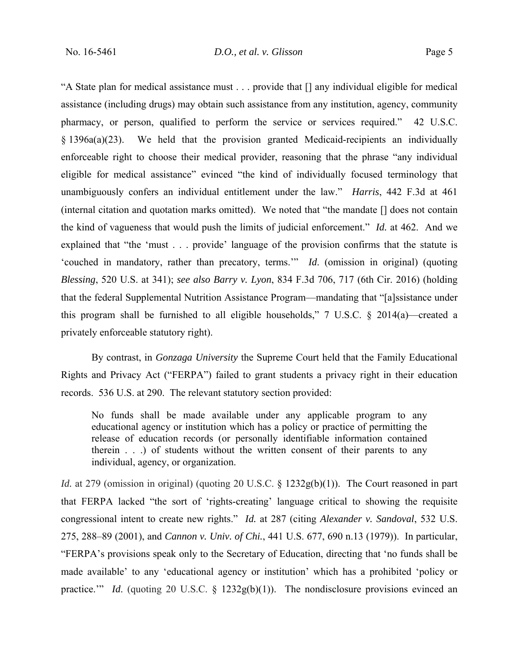"A State plan for medical assistance must . . . provide that [] any individual eligible for medical assistance (including drugs) may obtain such assistance from any institution, agency, community pharmacy, or person, qualified to perform the service or services required." 42 U.S.C. § 1396a(a)(23). We held that the provision granted Medicaid-recipients an individually enforceable right to choose their medical provider, reasoning that the phrase "any individual eligible for medical assistance" evinced "the kind of individually focused terminology that unambiguously confers an individual entitlement under the law." *Harris*, 442 F.3d at 461 (internal citation and quotation marks omitted). We noted that "the mandate [] does not contain the kind of vagueness that would push the limits of judicial enforcement." *Id.* at 462.And we explained that "the 'must . . . provide' language of the provision confirms that the statute is 'couched in mandatory, rather than precatory, terms.'" *Id*. (omission in original) (quoting *Blessing*, 520 U.S. at 341); *see also Barry v. Lyon*, 834 F.3d 706, 717 (6th Cir. 2016) (holding that the federal Supplemental Nutrition Assistance Program—mandating that "[a]ssistance under this program shall be furnished to all eligible households," 7 U.S.C. § 2014(a)—created a privately enforceable statutory right).

 By contrast, in *Gonzaga University* the Supreme Court held that the Family Educational Rights and Privacy Act ("FERPA") failed to grant students a privacy right in their education records. 536 U.S. at 290. The relevant statutory section provided:

No funds shall be made available under any applicable program to any educational agency or institution which has a policy or practice of permitting the release of education records (or personally identifiable information contained therein . . .) of students without the written consent of their parents to any individual, agency, or organization.

*Id.* at 279 (omission in original) (quoting 20 U.S.C. § 1232g(b)(1)). The Court reasoned in part that FERPA lacked "the sort of 'rights-creating' language critical to showing the requisite congressional intent to create new rights." *Id.* at 287 (citing *Alexander v. Sandoval*, 532 U.S. 275, 288–89 (2001), and *Cannon v. Univ. of Chi.*, 441 U.S. 677, 690 n.13 (1979)). In particular, "FERPA's provisions speak only to the Secretary of Education, directing that 'no funds shall be made available' to any 'educational agency or institution' which has a prohibited 'policy or practice.'" *Id.* (quoting 20 U.S.C. § 1232g(b)(1)). The nondisclosure provisions evinced an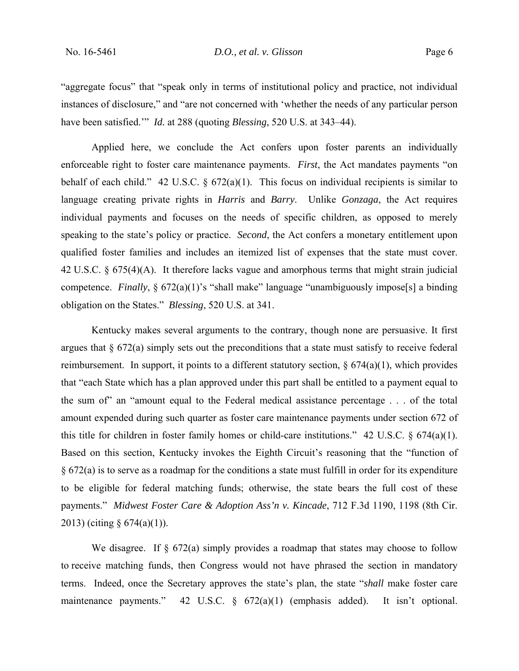"aggregate focus" that "speak only in terms of institutional policy and practice, not individual instances of disclosure," and "are not concerned with 'whether the needs of any particular person have been satisfied.'" *Id.* at 288 (quoting *Blessing*, 520 U.S. at 343–44).

Applied here, we conclude the Act confers upon foster parents an individually enforceable right to foster care maintenance payments. *First*, the Act mandates payments "on behalf of each child." 42 U.S.C.  $\S 672(a)(1)$ . This focus on individual recipients is similar to language creating private rights in *Harris* and *Barry*.Unlike *Gonzaga*, the Act requires individual payments and focuses on the needs of specific children, as opposed to merely speaking to the state's policy or practice. *Second*, the Act confers a monetary entitlement upon qualified foster families and includes an itemized list of expenses that the state must cover. 42 U.S.C. § 675(4)(A). It therefore lacks vague and amorphous terms that might strain judicial competence. *Finally*, § 672(a)(1)'s "shall make" language "unambiguously impose[s] a binding obligation on the States." *Blessing*, 520 U.S. at 341.

Kentucky makes several arguments to the contrary, though none are persuasive. It first argues that § 672(a) simply sets out the preconditions that a state must satisfy to receive federal reimbursement. In support, it points to a different statutory section,  $\S 674(a)(1)$ , which provides that "each State which has a plan approved under this part shall be entitled to a payment equal to the sum of" an "amount equal to the Federal medical assistance percentage . . . of the total amount expended during such quarter as foster care maintenance payments under section 672 of this title for children in foster family homes or child-care institutions." 42 U.S.C.  $\S$  674(a)(1). Based on this section, Kentucky invokes the Eighth Circuit's reasoning that the "function of § 672(a) is to serve as a roadmap for the conditions a state must fulfill in order for its expenditure to be eligible for federal matching funds; otherwise, the state bears the full cost of these payments." *Midwest Foster Care & Adoption Ass'n v. Kincade*, 712 F.3d 1190, 1198 (8th Cir. 2013) (citing  $\S$  674(a)(1)).

We disagree. If  $\S$  672(a) simply provides a roadmap that states may choose to follow to receive matching funds, then Congress would not have phrased the section in mandatory terms. Indeed, once the Secretary approves the state's plan, the state "*shall* make foster care maintenance payments." 42 U.S.C. § 672(a)(1) (emphasis added). It isn't optional.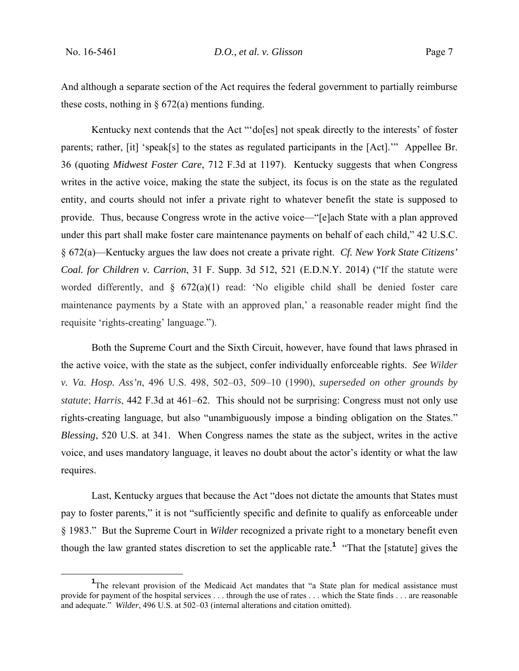And although a separate section of the Act requires the federal government to partially reimburse these costs, nothing in  $\S$  672(a) mentions funding.

Kentucky next contends that the Act "'do[es] not speak directly to the interests' of foster parents; rather, [it] 'speak[s] to the states as regulated participants in the [Act].'" Appellee Br. 36 (quoting *Midwest Foster Care*, 712 F.3d at 1197). Kentucky suggests that when Congress writes in the active voice, making the state the subject, its focus is on the state as the regulated entity, and courts should not infer a private right to whatever benefit the state is supposed to provide. Thus, because Congress wrote in the active voice—"[e]ach State with a plan approved under this part shall make foster care maintenance payments on behalf of each child," 42 U.S.C. § 672(a)—Kentucky argues the law does not create a private right. *Cf. New York State Citizens' Coal. for Children v. Carrion*, 31 F. Supp. 3d 512, 521 (E.D.N.Y. 2014) ("If the statute were worded differently, and  $\S$  672(a)(1) read: 'No eligible child shall be denied foster care maintenance payments by a State with an approved plan,' a reasonable reader might find the requisite 'rights-creating' language.").

 Both the Supreme Court and the Sixth Circuit, however, have found that laws phrased in the active voice, with the state as the subject, confer individually enforceable rights. *See Wilder v. Va. Hosp. Ass'n*, 496 U.S. 498, 502–03, 509–10 (1990), *superseded on other grounds by statute*; *Harris*, 442 F.3d at 461–62. This should not be surprising: Congress must not only use rights-creating language, but also "unambiguously impose a binding obligation on the States." *Blessing*, 520 U.S. at 341. When Congress names the state as the subject, writes in the active voice, and uses mandatory language, it leaves no doubt about the actor's identity or what the law requires.

 Last, Kentucky argues that because the Act "does not dictate the amounts that States must pay to foster parents," it is not "sufficiently specific and definite to qualify as enforceable under § 1983." But the Supreme Court in *Wilder* recognized a private right to a monetary benefit even though the law granted states discretion to set the applicable rate.**<sup>1</sup>** "That the [statute] gives the

 $\frac{1}{1}$ <sup>1</sup>The relevant provision of the Medicaid Act mandates that "a State plan for medical assistance must provide for payment of the hospital services . . . through the use of rates . . . which the State finds . . . are reasonable and adequate." *Wilder*, 496 U.S. at 502–03 (internal alterations and citation omitted).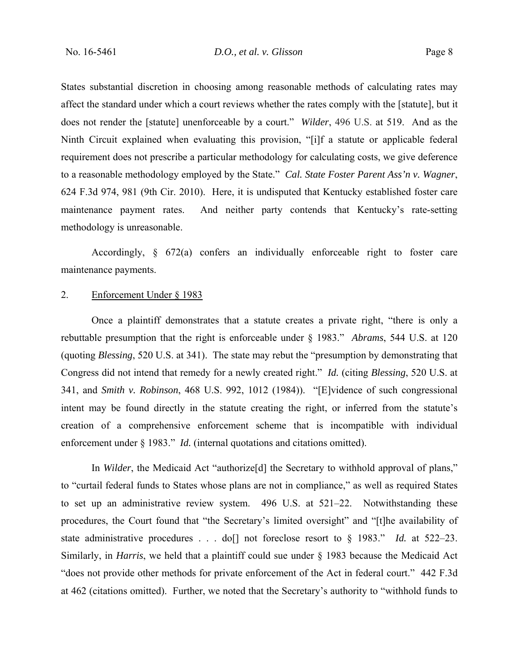States substantial discretion in choosing among reasonable methods of calculating rates may affect the standard under which a court reviews whether the rates comply with the [statute], but it does not render the [statute] unenforceable by a court." *Wilder*, 496 U.S. at 519. And as the Ninth Circuit explained when evaluating this provision, "[i]f a statute or applicable federal requirement does not prescribe a particular methodology for calculating costs, we give deference to a reasonable methodology employed by the State." *Cal. State Foster Parent Ass'n v. Wagner*, 624 F.3d 974, 981 (9th Cir. 2010). Here, it is undisputed that Kentucky established foster care maintenance payment rates. And neither party contends that Kentucky's rate-setting methodology is unreasonable.

 Accordingly, § 672(a) confers an individually enforceable right to foster care maintenance payments.

# 2. Enforcement Under § 1983

 Once a plaintiff demonstrates that a statute creates a private right, "there is only a rebuttable presumption that the right is enforceable under § 1983." *Abrams*, 544 U.S. at 120 (quoting *Blessing*, 520 U.S. at 341). The state may rebut the "presumption by demonstrating that Congress did not intend that remedy for a newly created right." *Id.* (citing *Blessing*, 520 U.S. at 341, and *Smith v. Robinson*, 468 U.S. 992, 1012 (1984))."[E]vidence of such congressional intent may be found directly in the statute creating the right, or inferred from the statute's creation of a comprehensive enforcement scheme that is incompatible with individual enforcement under § 1983." *Id.* (internal quotations and citations omitted).

 In *Wilder*, the Medicaid Act "authorize[d] the Secretary to withhold approval of plans," to "curtail federal funds to States whose plans are not in compliance," as well as required States to set up an administrative review system. 496 U.S. at 521–22. Notwithstanding these procedures, the Court found that "the Secretary's limited oversight" and "[t]he availability of state administrative procedures . . . do[] not foreclose resort to § 1983." *Id.* at 522–23. Similarly, in *Harris*, we held that a plaintiff could sue under § 1983 because the Medicaid Act "does not provide other methods for private enforcement of the Act in federal court." 442 F.3d at 462 (citations omitted). Further, we noted that the Secretary's authority to "withhold funds to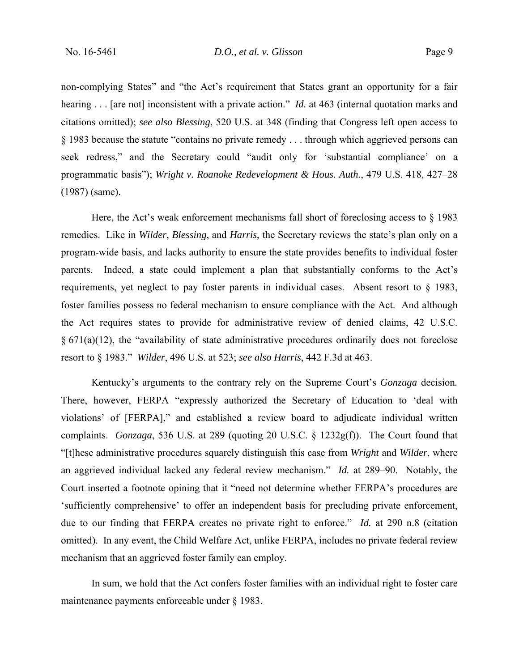non-complying States" and "the Act's requirement that States grant an opportunity for a fair hearing . . . [are not] inconsistent with a private action." *Id.* at 463 (internal quotation marks and citations omitted); *see also Blessing*, 520 U.S. at 348 (finding that Congress left open access to § 1983 because the statute "contains no private remedy . . . through which aggrieved persons can seek redress," and the Secretary could "audit only for 'substantial compliance' on a programmatic basis"); *Wright v. Roanoke Redevelopment & Hous. Auth.*, 479 U.S. 418, 427–28 (1987) (same).

Here, the Act's weak enforcement mechanisms fall short of foreclosing access to § 1983 remedies. Like in *Wilder*, *Blessing*, and *Harris*, the Secretary reviews the state's plan only on a program-wide basis, and lacks authority to ensure the state provides benefits to individual foster parents. Indeed, a state could implement a plan that substantially conforms to the Act's requirements, yet neglect to pay foster parents in individual cases. Absent resort to § 1983, foster families possess no federal mechanism to ensure compliance with the Act. And although the Act requires states to provide for administrative review of denied claims, 42 U.S.C.  $§ 671(a)(12)$ , the "availability of state administrative procedures ordinarily does not foreclose resort to § 1983." *Wilder*, 496 U.S. at 523; *see also Harris*, 442 F.3d at 463.

 Kentucky's arguments to the contrary rely on the Supreme Court's *Gonzaga* decision*.* There, however, FERPA "expressly authorized the Secretary of Education to 'deal with violations' of [FERPA]," and established a review board to adjudicate individual written complaints. *Gonzaga*, 536 U.S. at 289 (quoting 20 U.S.C. § 1232g(f)). The Court found that "[t]hese administrative procedures squarely distinguish this case from *Wright* and *Wilder*, where an aggrieved individual lacked any federal review mechanism." *Id.* at 289–90. Notably, the Court inserted a footnote opining that it "need not determine whether FERPA's procedures are 'sufficiently comprehensive' to offer an independent basis for precluding private enforcement, due to our finding that FERPA creates no private right to enforce." *Id.* at 290 n.8 (citation omitted). In any event, the Child Welfare Act, unlike FERPA, includes no private federal review mechanism that an aggrieved foster family can employ.

 In sum, we hold that the Act confers foster families with an individual right to foster care maintenance payments enforceable under § 1983.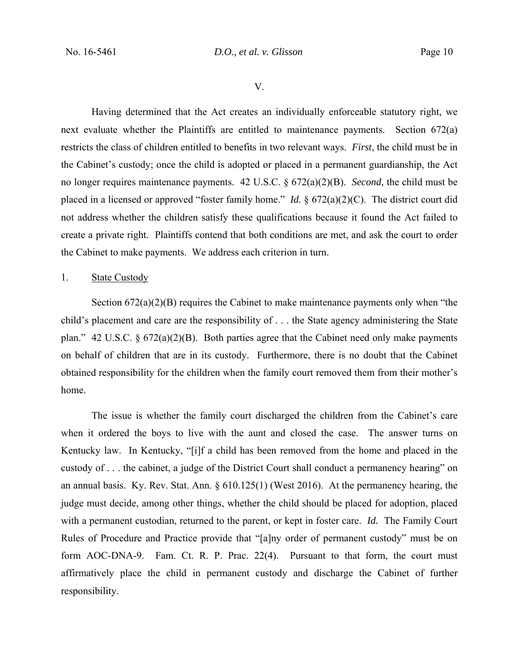V.

 Having determined that the Act creates an individually enforceable statutory right, we next evaluate whether the Plaintiffs are entitled to maintenance payments. Section 672(a) restricts the class of children entitled to benefits in two relevant ways. *First*, the child must be in the Cabinet's custody; once the child is adopted or placed in a permanent guardianship, the Act no longer requires maintenance payments. 42 U.S.C. § 672(a)(2)(B). *Second*, the child must be placed in a licensed or approved "foster family home." *Id.* § 672(a)(2)(C). The district court did not address whether the children satisfy these qualifications because it found the Act failed to create a private right. Plaintiffs contend that both conditions are met, and ask the court to order the Cabinet to make payments. We address each criterion in turn.

# 1. State Custody

Section 672(a)(2)(B) requires the Cabinet to make maintenance payments only when "the child's placement and care are the responsibility of . . . the State agency administering the State plan." 42 U.S.C. § 672(a)(2)(B). Both parties agree that the Cabinet need only make payments on behalf of children that are in its custody. Furthermore, there is no doubt that the Cabinet obtained responsibility for the children when the family court removed them from their mother's home.

 The issue is whether the family court discharged the children from the Cabinet's care when it ordered the boys to live with the aunt and closed the case. The answer turns on Kentucky law. In Kentucky, "[i]f a child has been removed from the home and placed in the custody of . . . the cabinet, a judge of the District Court shall conduct a permanency hearing" on an annual basis. Ky. Rev. Stat. Ann. § 610.125(1) (West 2016). At the permanency hearing, the judge must decide, among other things, whether the child should be placed for adoption, placed with a permanent custodian, returned to the parent, or kept in foster care. *Id.* The Family Court Rules of Procedure and Practice provide that "[a]ny order of permanent custody" must be on form AOC-DNA-9. Fam. Ct. R. P. Prac. 22(4). Pursuant to that form, the court must affirmatively place the child in permanent custody and discharge the Cabinet of further responsibility.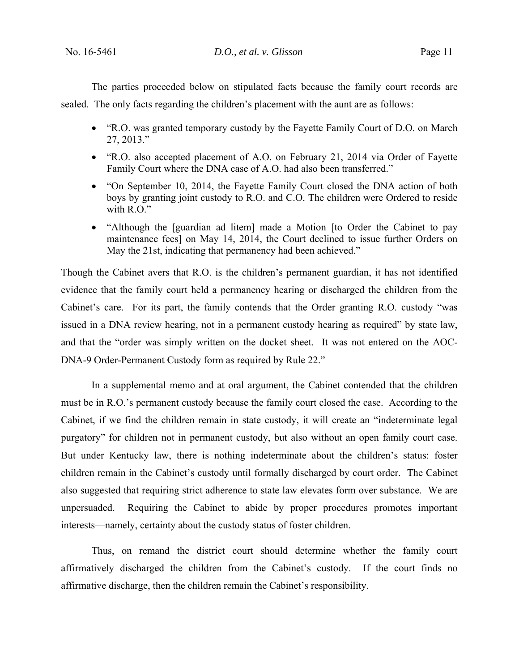The parties proceeded below on stipulated facts because the family court records are sealed. The only facts regarding the children's placement with the aunt are as follows:

- "R.O. was granted temporary custody by the Fayette Family Court of D.O. on March 27, 2013."
- "R.O. also accepted placement of A.O. on February 21, 2014 via Order of Fayette Family Court where the DNA case of A.O. had also been transferred."
- "On September 10, 2014, the Fayette Family Court closed the DNA action of both boys by granting joint custody to R.O. and C.O. The children were Ordered to reside with R.O."
- "Although the [guardian ad litem] made a Motion [to Order the Cabinet to pay maintenance fees] on May 14, 2014, the Court declined to issue further Orders on May the 21st, indicating that permanency had been achieved."

Though the Cabinet avers that R.O. is the children's permanent guardian, it has not identified evidence that the family court held a permanency hearing or discharged the children from the Cabinet's care. For its part, the family contends that the Order granting R.O. custody "was issued in a DNA review hearing, not in a permanent custody hearing as required" by state law, and that the "order was simply written on the docket sheet. It was not entered on the AOC-DNA-9 Order-Permanent Custody form as required by Rule 22."

 In a supplemental memo and at oral argument, the Cabinet contended that the children must be in R.O.'s permanent custody because the family court closed the case. According to the Cabinet, if we find the children remain in state custody, it will create an "indeterminate legal purgatory" for children not in permanent custody, but also without an open family court case. But under Kentucky law, there is nothing indeterminate about the children's status: foster children remain in the Cabinet's custody until formally discharged by court order. The Cabinet also suggested that requiring strict adherence to state law elevates form over substance. We are unpersuaded. Requiring the Cabinet to abide by proper procedures promotes important interests—namely, certainty about the custody status of foster children.

 Thus, on remand the district court should determine whether the family court affirmatively discharged the children from the Cabinet's custody. If the court finds no affirmative discharge, then the children remain the Cabinet's responsibility.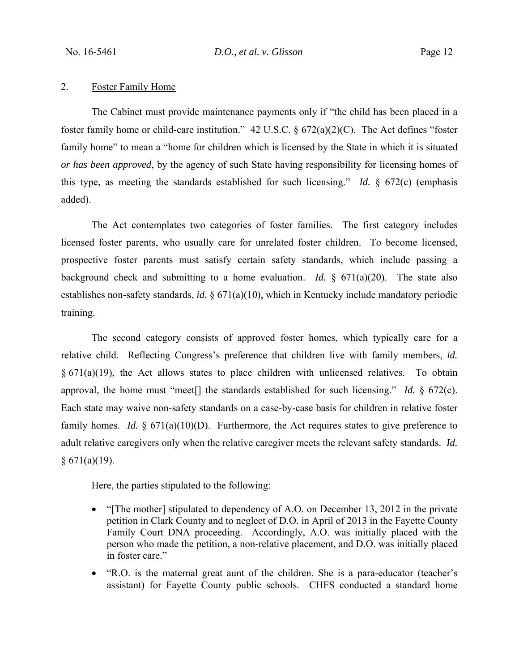## 2. Foster Family Home

The Cabinet must provide maintenance payments only if "the child has been placed in a foster family home or child-care institution." 42 U.S.C. § 672(a)(2)(C). The Act defines "foster family home" to mean a "home for children which is licensed by the State in which it is situated *or has been approved*, by the agency of such State having responsibility for licensing homes of this type, as meeting the standards established for such licensing." *Id.* § 672(c) (emphasis added).

 The Act contemplates two categories of foster families. The first category includes licensed foster parents, who usually care for unrelated foster children. To become licensed, prospective foster parents must satisfy certain safety standards, which include passing a background check and submitting to a home evaluation. *Id.*  $\frac{1}{2}$  671(a)(20). The state also establishes non-safety standards, *id.* § 671(a)(10), which in Kentucky include mandatory periodic training.

 The second category consists of approved foster homes, which typically care for a relative child. Reflecting Congress's preference that children live with family members, *id.*  $§ 671(a)(19)$ , the Act allows states to place children with unlicensed relatives. To obtain approval, the home must "meet[] the standards established for such licensing." *Id.* § 672(c). Each state may waive non-safety standards on a case-by-case basis for children in relative foster family homes. *Id.* § 671(a)(10)(D). Furthermore, the Act requires states to give preference to adult relative caregivers only when the relative caregiver meets the relevant safety standards. *Id.*   $§ 671(a)(19).$ 

Here, the parties stipulated to the following:

- "[The mother] stipulated to dependency of A.O. on December 13, 2012 in the private petition in Clark County and to neglect of D.O. in April of 2013 in the Fayette County Family Court DNA proceeding. Accordingly, A.O. was initially placed with the person who made the petition, a non-relative placement, and D.O. was initially placed in foster care."
- "R.O. is the maternal great aunt of the children. She is a para-educator (teacher's assistant) for Fayette County public schools. CHFS conducted a standard home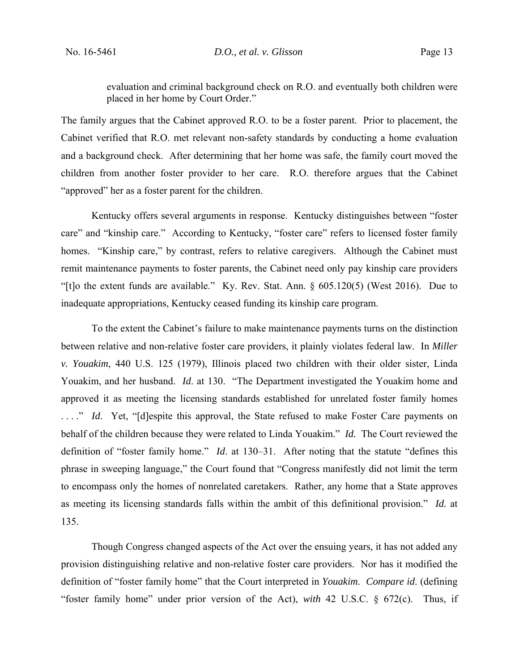evaluation and criminal background check on R.O. and eventually both children were placed in her home by Court Order."

The family argues that the Cabinet approved R.O. to be a foster parent. Prior to placement, the Cabinet verified that R.O. met relevant non-safety standards by conducting a home evaluation and a background check. After determining that her home was safe, the family court moved the children from another foster provider to her care. R.O. therefore argues that the Cabinet "approved" her as a foster parent for the children.

Kentucky offers several arguments in response. Kentucky distinguishes between "foster care" and "kinship care." According to Kentucky, "foster care" refers to licensed foster family homes. "Kinship care," by contrast, refers to relative caregivers. Although the Cabinet must remit maintenance payments to foster parents, the Cabinet need only pay kinship care providers "[t]o the extent funds are available." Ky. Rev. Stat. Ann. § 605.120(5) (West 2016). Due to inadequate appropriations, Kentucky ceased funding its kinship care program.

 To the extent the Cabinet's failure to make maintenance payments turns on the distinction between relative and non-relative foster care providers, it plainly violates federal law. In *Miller v. Youakim*, 440 U.S. 125 (1979), Illinois placed two children with their older sister, Linda Youakim, and her husband. *Id*. at 130. "The Department investigated the Youakim home and approved it as meeting the licensing standards established for unrelated foster family homes ...." *Id.* Yet, "[d]espite this approval, the State refused to make Foster Care payments on behalf of the children because they were related to Linda Youakim." *Id.* The Court reviewed the definition of "foster family home." *Id*. at 130–31. After noting that the statute "defines this phrase in sweeping language," the Court found that "Congress manifestly did not limit the term to encompass only the homes of nonrelated caretakers. Rather, any home that a State approves as meeting its licensing standards falls within the ambit of this definitional provision." *Id.* at 135.

 Though Congress changed aspects of the Act over the ensuing years, it has not added any provision distinguishing relative and non-relative foster care providers. Nor has it modified the definition of "foster family home" that the Court interpreted in *Youakim*. *Compare id*. (defining "foster family home" under prior version of the Act), *with* 42 U.S.C. § 672(c). Thus, if